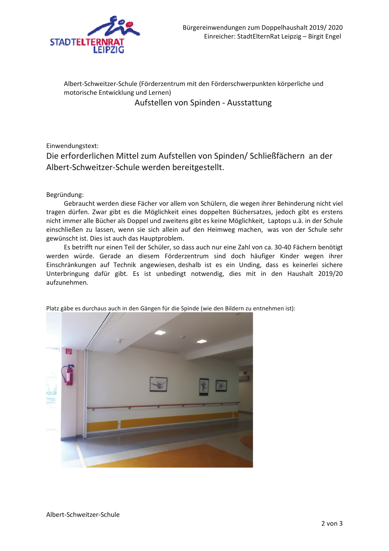

Albert-Schweitzer-Schule (Förderzentrum mit den Förderschwerpunkten körperliche und motorische Entwicklung und Lernen) Aufstellen von Spinden - Ausstattung

## Einwendungstext:

Die erforderlichen Mittel zum Aufstellen von Spinden/ Schließfächern an der Albert-Schweitzer-Schule werden bereitgestellt.

## Begründung:

Gebraucht werden diese Fächer vor allem von Schülern, die wegen ihrer Behinderung nicht viel tragen dürfen. Zwar gibt es die Möglichkeit eines doppelten Büchersatzes, jedoch gibt es erstens nicht immer alle Bücher als Doppel und zweitens gibt es keine Möglichkeit, Laptops u.ä. in der Schule einschließen zu lassen, wenn sie sich allein auf den Heimweg machen, was von der Schule sehr gewünscht ist. Dies ist auch das Hauptproblem.

Es betrifft nur einen Teil der Schüler, so dass auch nur eine Zahl von ca. 30-40 Fächern benötigt werden würde. Gerade an diesem Förderzentrum sind doch häufiger Kinder wegen ihrer Einschränkungen auf Technik angewiesen, deshalb ist es ein Unding, dass es keinerlei sichere Unterbringung dafür gibt. Es ist unbedingt notwendig, dies mit in den Haushalt 2019/20 aufzunehmen.



Platz gäbe es durchaus auch in den Gängen für die Spinde (wie den Bildern zu entnehmen ist):